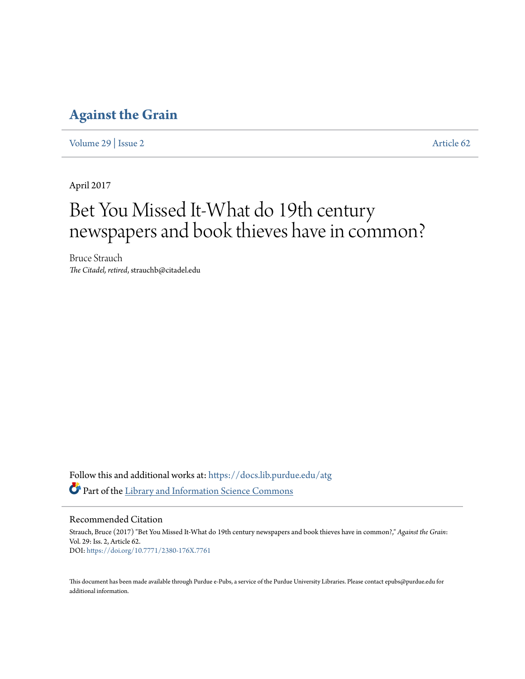### **[Against the Grain](https://docs.lib.purdue.edu/atg?utm_source=docs.lib.purdue.edu%2Fatg%2Fvol29%2Fiss2%2F62&utm_medium=PDF&utm_campaign=PDFCoverPages)**

[Volume 29](https://docs.lib.purdue.edu/atg/vol29?utm_source=docs.lib.purdue.edu%2Fatg%2Fvol29%2Fiss2%2F62&utm_medium=PDF&utm_campaign=PDFCoverPages) | [Issue 2](https://docs.lib.purdue.edu/atg/vol29/iss2?utm_source=docs.lib.purdue.edu%2Fatg%2Fvol29%2Fiss2%2F62&utm_medium=PDF&utm_campaign=PDFCoverPages) [Article 62](https://docs.lib.purdue.edu/atg/vol29/iss2/62?utm_source=docs.lib.purdue.edu%2Fatg%2Fvol29%2Fiss2%2F62&utm_medium=PDF&utm_campaign=PDFCoverPages)

April 2017

# Bet You Missed It-What do 19th century newspapers and book thieves have in common?

Bruce Strauch *The Citadel, retired*, strauchb@citadel.edu

Follow this and additional works at: [https://docs.lib.purdue.edu/atg](https://docs.lib.purdue.edu/atg?utm_source=docs.lib.purdue.edu%2Fatg%2Fvol29%2Fiss2%2F62&utm_medium=PDF&utm_campaign=PDFCoverPages) Part of the [Library and Information Science Commons](http://network.bepress.com/hgg/discipline/1018?utm_source=docs.lib.purdue.edu%2Fatg%2Fvol29%2Fiss2%2F62&utm_medium=PDF&utm_campaign=PDFCoverPages)

Recommended Citation

Strauch, Bruce (2017) "Bet You Missed It-What do 19th century newspapers and book thieves have in common?," *Against the Grain*: Vol. 29: Iss. 2, Article 62. DOI: <https://doi.org/10.7771/2380-176X.7761>

This document has been made available through Purdue e-Pubs, a service of the Purdue University Libraries. Please contact epubs@purdue.edu for additional information.